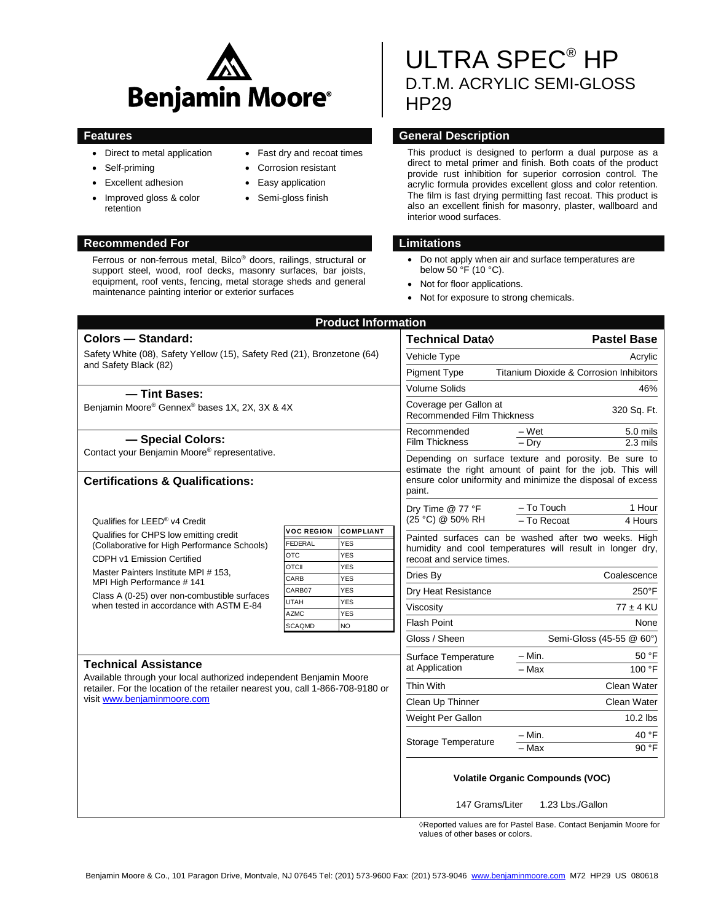

Ferrous or non-ferrous metal, Bilco® doors, railings, structural or support steel, wood, roof decks, masonry surfaces, bar joists, equipment, roof vents, fencing, metal storage sheds and general

maintenance painting interior or exterior surfaces

- Direct to metal application
- Self-priming
- Excellent adhesion
- Improved gloss & color retention

#### **Recommended For Limitations**

Fast dry and recoat times

- Corrosion resistant
- Easy application
- Semi-gloss finish

# ULTRA SPEC® HP D.T.M. ACRYLIC SEMI-GLOSS HP29

## **Features General Description**

This product is designed to perform a dual purpose as a direct to metal primer and finish. Both coats of the product provide rust inhibition for superior corrosion control. The acrylic formula provides excellent gloss and color retention. The film is fast drying permitting fast recoat. This product is also an excellent finish for masonry, plaster, wallboard and interior wood surfaces.

- Do not apply when air and surface temperatures are below 50 °F (10 °C).
- Not for floor applications.
- Not for exposure to strong chemicals.

| <b>Product Information</b>                                                                                                                            |                            |                                                                            |                                                                                                                                                                                             |                                                                                                                   |
|-------------------------------------------------------------------------------------------------------------------------------------------------------|----------------------------|----------------------------------------------------------------------------|---------------------------------------------------------------------------------------------------------------------------------------------------------------------------------------------|-------------------------------------------------------------------------------------------------------------------|
| <b>Colors - Standard:</b>                                                                                                                             |                            | Technical Data $\Diamond$                                                  | <b>Pastel Base</b>                                                                                                                                                                          |                                                                                                                   |
| Safety White (08), Safety Yellow (15), Safety Red (21), Bronzetone (64)<br>and Safety Black (82)                                                      |                            | Vehicle Type                                                               | Acrylic                                                                                                                                                                                     |                                                                                                                   |
|                                                                                                                                                       |                            | <b>Pigment Type</b>                                                        | Titanium Dioxide & Corrosion Inhibitors                                                                                                                                                     |                                                                                                                   |
| - Tint Bases:                                                                                                                                         |                            |                                                                            | <b>Volume Solids</b>                                                                                                                                                                        | 46%                                                                                                               |
| Benjamin Moore® Gennex® bases 1X, 2X, 3X & 4X                                                                                                         |                            | Coverage per Gallon at<br>320 Sq. Ft.<br><b>Recommended Film Thickness</b> |                                                                                                                                                                                             |                                                                                                                   |
| - Special Colors:<br>Contact your Benjamin Moore® representative.                                                                                     |                            | Recommended                                                                | $-Wet$<br>5.0 mils                                                                                                                                                                          |                                                                                                                   |
|                                                                                                                                                       |                            | Film Thickness                                                             | $-$ Drv<br>$2.3$ mils                                                                                                                                                                       |                                                                                                                   |
| <b>Certifications &amp; Qualifications:</b>                                                                                                           |                            |                                                                            | Depending on surface texture and porosity. Be sure to<br>estimate the right amount of paint for the job. This will<br>ensure color uniformity and minimize the disposal of excess<br>paint. |                                                                                                                   |
|                                                                                                                                                       |                            |                                                                            | Dry Time $@$ 77 °F                                                                                                                                                                          | - To Touch<br>1 Hour                                                                                              |
| Qualifies for LEED® v4 Credit<br>Qualifies for CHPS low emitting credit<br>(Collaborative for High Performance Schools)<br>CDPH v1 Emission Certified | <b>VOC REGION</b>          | <b>COMPLIANT</b>                                                           | (25 °C) @ 50% RH                                                                                                                                                                            | - To Recoat<br>4 Hours                                                                                            |
|                                                                                                                                                       | <b>FEDERAL</b>             | <b>YES</b>                                                                 |                                                                                                                                                                                             | Painted surfaces can be washed after two weeks. High<br>humidity and cool temperatures will result in longer dry, |
|                                                                                                                                                       | <b>OTC</b><br><b>OTCII</b> | <b>YES</b><br><b>YES</b>                                                   | recoat and service times.                                                                                                                                                                   |                                                                                                                   |
| Master Painters Institute MPI # 153,<br>MPI High Performance #141                                                                                     | CARB                       | <b>YES</b>                                                                 | Dries By                                                                                                                                                                                    | Coalescence                                                                                                       |
| Class A (0-25) over non-combustible surfaces                                                                                                          | CARB07                     | <b>YES</b>                                                                 | Dry Heat Resistance                                                                                                                                                                         | $250^{\circ}$ F                                                                                                   |
| when tested in accordance with ASTM E-84                                                                                                              | <b>UTAH</b><br><b>AZMC</b> | <b>YES</b><br>Viscosity<br>YES                                             |                                                                                                                                                                                             | $77 \pm 4$ KU                                                                                                     |
|                                                                                                                                                       | <b>SCAQMD</b>              | NO                                                                         | <b>Flash Point</b>                                                                                                                                                                          | None                                                                                                              |
|                                                                                                                                                       |                            |                                                                            | Gloss / Sheen                                                                                                                                                                               | Semi-Gloss (45-55 @ 60°)                                                                                          |
|                                                                                                                                                       |                            |                                                                            | Surface Temperature                                                                                                                                                                         | 50 °F<br>– Min.                                                                                                   |
| <b>Technical Assistance</b><br>Available through your local authorized independent Benjamin Moore                                                     |                            |                                                                            | at Application                                                                                                                                                                              | 100 °F<br>– Max                                                                                                   |
| retailer. For the location of the retailer nearest you, call 1-866-708-9180 or<br>visit www.benjaminmoore.com                                         |                            |                                                                            | Thin With                                                                                                                                                                                   | Clean Water                                                                                                       |
|                                                                                                                                                       |                            |                                                                            | Clean Up Thinner                                                                                                                                                                            | Clean Water                                                                                                       |
|                                                                                                                                                       |                            |                                                                            | Weight Per Gallon                                                                                                                                                                           | 10.2 lbs                                                                                                          |
|                                                                                                                                                       |                            |                                                                            | Storage Temperature                                                                                                                                                                         | 40 °F<br>– Min.                                                                                                   |
|                                                                                                                                                       |                            |                                                                            |                                                                                                                                                                                             | $-Max$<br>90 °F                                                                                                   |
|                                                                                                                                                       |                            |                                                                            | <b>Volatile Organic Compounds (VOC)</b><br>147 Grams/Liter<br>1.23 Lbs./Gallon                                                                                                              |                                                                                                                   |
|                                                                                                                                                       |                            |                                                                            |                                                                                                                                                                                             |                                                                                                                   |

◊Reported values are for Pastel Base. Contact Benjamin Moore for values of other bases or colors.